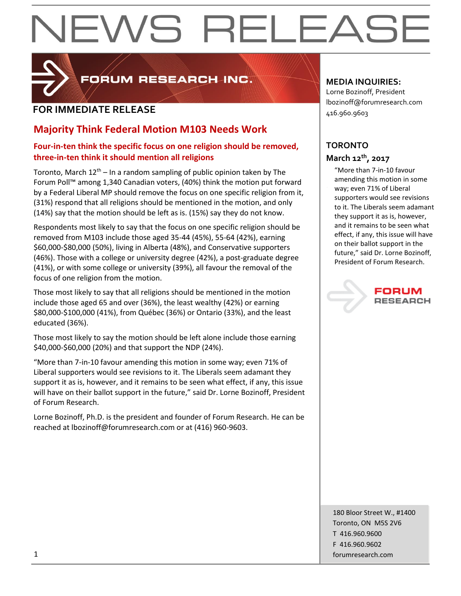# EWS RELEAS



FORUM RESEARCH INC.

### **FOR IMMEDIATE RELEASE**

### **Majority Think Federal Motion M103 Needs Work**

#### **Four-in-ten think the specific focus on one religion should be removed, three-in-ten think it should mention all religions**

Toronto, March  $12<sup>th</sup>$  – In a random sampling of public opinion taken by The Forum Poll™ among 1,340 Canadian voters, (40%) think the motion put forward by a Federal Liberal MP should remove the focus on one specific religion from it, (31%) respond that all religions should be mentioned in the motion, and only (14%) say that the motion should be left as is. (15%) say they do not know.

Respondents most likely to say that the focus on one specific religion should be removed from M103 include those aged 35-44 (45%), 55-64 (42%), earning \$60,000-\$80,000 (50%), living in Alberta (48%), and Conservative supporters (46%). Those with a college or university degree (42%), a post-graduate degree (41%), or with some college or university (39%), all favour the removal of the focus of one religion from the motion.

Those most likely to say that all religions should be mentioned in the motion include those aged 65 and over (36%), the least wealthy (42%) or earning \$80,000-\$100,000 (41%), from Québec (36%) or Ontario (33%), and the least educated (36%).

Those most likely to say the motion should be left alone include those earning \$40,000-\$60,000 (20%) and that support the NDP (24%).

"More than 7-in-10 favour amending this motion in some way; even 71% of Liberal supporters would see revisions to it. The Liberals seem adamant they support it as is, however, and it remains to be seen what effect, if any, this issue will have on their ballot support in the future," said Dr. Lorne Bozinoff, President of Forum Research.

Lorne Bozinoff, Ph.D. is the president and founder of Forum Research. He can be reached at lbozinoff@forumresearch.com or at (416) 960-9603.

#### **MEDIA INQUIRIES:**

Lorne Bozinoff, President lbozinoff@forumresearch.com 416.960.9603

#### **TORONTO March 12th, 2017**

"More than 7-in-10 favour amending this motion in some way; even 71% of Liberal supporters would see revisions to it. The Liberals seem adamant they support it as is, however, and it remains to be seen what effect, if any, this issue will have on their ballot support in the future," said Dr. Lorne Bozinoff, President of Forum Research.

## **RESEARCH**

180 Bloor Street W., #1400 Toronto, ON M5S 2V6 T 416.960.9600 F 416.960.9602 1 forumresearch.com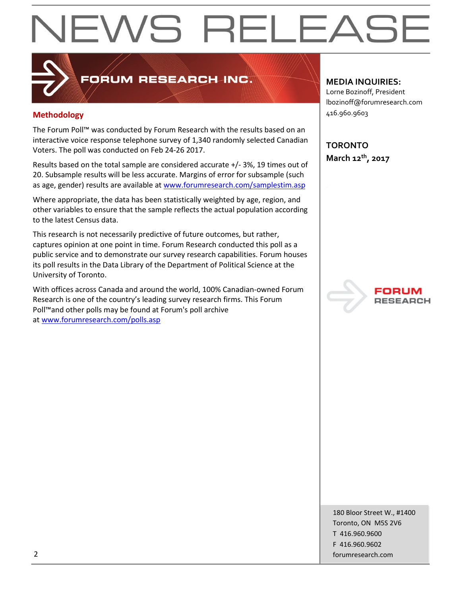# EWS RELEAS

## FORUM RESEARCH INC.

#### **Methodology**

The Forum Poll™ was conducted by Forum Research with the results based on an interactive voice response telephone survey of 1,340 randomly selected Canadian Voters. The poll was conducted on Feb 24-26 2017.

Results based on the total sample are considered accurate +/- 3%, 19 times out of 20. Subsample results will be less accurate. Margins of error for subsample (such as age, gender) results are available at [www.forumresearch.com/samplestim.asp](http://www.forumresearch.com/samplestim.asp)

Where appropriate, the data has been statistically weighted by age, region, and other variables to ensure that the sample reflects the actual population according to the latest Census data.

This research is not necessarily predictive of future outcomes, but rather, captures opinion at one point in time. Forum Research conducted this poll as a public service and to demonstrate our survey research capabilities. Forum houses its poll results in the Data Library of the Department of Political Science at the University of Toronto.

With offices across Canada and around the world, 100% Canadian-owned Forum Research is one of the country's leading survey research firms. This Forum Poll™and other polls may be found at Forum's poll archive at [www.forumresearch.com/polls.asp](http://www.forumresearch.com/polls.asp)

#### **MEDIA INQUIRIES:**

Lorne Bozinoff, President lbozinoff@forumresearch.com 416.960.9603

**TORONTO March 12th, 2017**



180 Bloor Street W., #1400 Toronto, ON M5S 2V6 T 416.960.9600 F 416.960.9602 2 forumresearch.com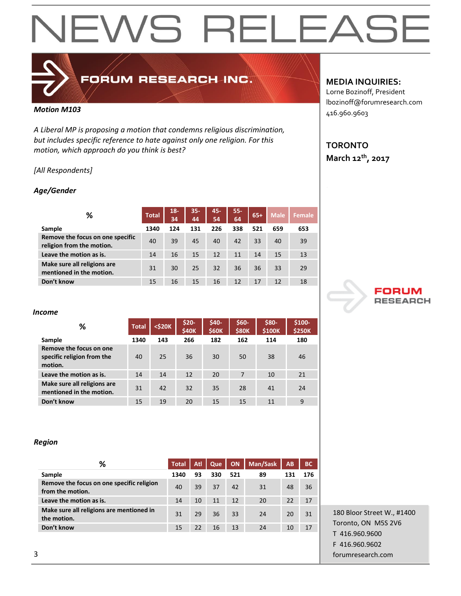## NEWS RELEASE

### FORUM RESEARCH INC.

#### *Motion M103*

*A Liberal MP is proposing a motion that condemns religious discrimination, but includes specific reference to hate against only one religion. For this motion, which approach do you think is best?*

#### *[All Respondents]*

#### *Age/Gender*

| ℅                                                             | <b>Total</b> | $18 -$<br>34 | $35 -$<br>44 | 45-<br>54 | $55 -$<br>64 | $65+$ | <b>Male</b> | Female |
|---------------------------------------------------------------|--------------|--------------|--------------|-----------|--------------|-------|-------------|--------|
| Sample                                                        | 1340         | 124          | 131          | 226       | 338          | 521   | 659         | 653    |
| Remove the focus on one specific<br>religion from the motion. | 40           | 39           | 45           | 40        | 42           | 33    | 40          | 39     |
| Leave the motion as is.                                       | 14           | 16           | 15           | 12        | 11           | 14    | 15          | 13     |
| Make sure all religions are<br>mentioned in the motion.       | 31           | 30           | 25           | 32        | 36           | 36    | 33          | 29     |
| Don't know                                                    | 15           | 16           | 15           | 16        | 12           | 17    | 12          | 18     |

#### *Income*

| ℅                                                                | <b>Total</b> | $<$ \$20 $K$ | $$20-$<br>\$40K | \$40-<br><b>\$60K</b> | \$60-<br><b>\$80K</b> | \$80-<br>\$100K | \$100-<br><b>\$250K</b> |
|------------------------------------------------------------------|--------------|--------------|-----------------|-----------------------|-----------------------|-----------------|-------------------------|
| Sample                                                           | 1340         | 143          | 266             | 182                   | 162                   | 114             | 180                     |
| Remove the focus on one<br>specific religion from the<br>motion. | 40           | 25           | 36              | 30                    | 50                    | 38              | 46                      |
| Leave the motion as is.                                          | 14           | 14           | 12              | 20                    | 7                     | 10              | 21                      |
| Make sure all religions are<br>mentioned in the motion.          | 31           | 42           | 32              | 35                    | 28                    | 41              | 24                      |
| Don't know                                                       | 15           | 19           | 20              | 15                    | 15                    | 11              | 9                       |

#### *Region*

| ℅                                                             | <b>Total</b> | Atl | Que | <b>ON</b> | Man/Sask | AB  | <b>BC</b> |
|---------------------------------------------------------------|--------------|-----|-----|-----------|----------|-----|-----------|
| Sample                                                        | 1340         | 93  | 330 | 521       | 89       | 131 | 176       |
| Remove the focus on one specific religion<br>from the motion. | 40           | 39  | 37  | 42        | 31       | 48  | 36        |
| Leave the motion as is.                                       | 14           | 10  | 11  | 12        | 20       | 22  | 17        |
| Make sure all religions are mentioned in<br>the motion.       | 31           | 29  | 36  | 33        | 24       | 20  | 31        |
| Don't know                                                    | 15           | 22  | 16  | 13        | 24       | 10  | 17        |

#### **MEDIA INQUIRIES:**

Lorne Bozinoff, President lbozinoff@forumresearch.com 416.960.9603

### **TORONTO March 12th, 2017**



180 Bloor Street W., #1400 Toronto, ON M5S 2V6 T 416.960.9600 F 416.960.9602 3 forumresearch.com